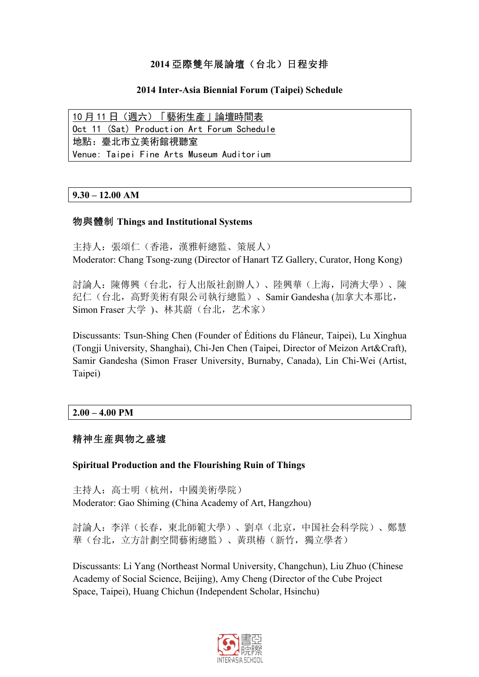# **2014** 亞際雙年展論壇(台北)日程安排

## **2014 Inter-Asia Biennial Forum (Taipei) Schedule**

10 月 11 日(週六)「藝術生產」論壇時間表 Oct 11 (Sat) Production Art Forum Schedule 地點:臺北市立美術館視聽室 Venue: Taipei Fine Arts Museum Auditorium

## **9.30 – 12.00 AM**

## 物與體制 **Things and Institutional Systems**

主持人:張頌仁(香港,漢雅軒總監、策展人) Moderator: Chang Tsong-zung (Director of Hanart TZ Gallery, Curator, Hong Kong)

討論人:陳傳興(台北,行人出版社創辦人)、陸興華(上海,同濟大學)、陳 纪仁(台北,高野美術有限公司執行總監)、Samir Gandesha (加拿大本那比, Simon Fraser 大学 )、林其蔚(台北,艺术家)

Discussants: Tsun-Shing Chen (Founder of Éditions du Flâneur, Taipei), Lu Xinghua (Tongji University, Shanghai), Chi-Jen Chen (Taipei, Director of Meizon Art&Craft), Samir Gandesha (Simon Fraser University, Burnaby, Canada), Lin Chi-Wei (Artist, Taipei)

## **2.00 – 4.00 PM**

## 精神生産與物之盛墟

#### **Spiritual Production and the Flourishing Ruin of Things**

主持人:高士明(杭州,中國美術學院) Moderator: Gao Shiming (China Academy of Art, Hangzhou)

討論人:李洋(长春,東北師範大學)、劉卓(北京,中国社会科学院)、鄭慧 華(台北,立方計劃空間藝術總監)、黃琪椿(新竹,獨立學者)

Discussants: Li Yang (Northeast Normal University, Changchun), Liu Zhuo (Chinese Academy of Social Science, Beijing), Amy Cheng (Director of the Cube Project Space, Taipei), Huang Chichun (Independent Scholar, Hsinchu)

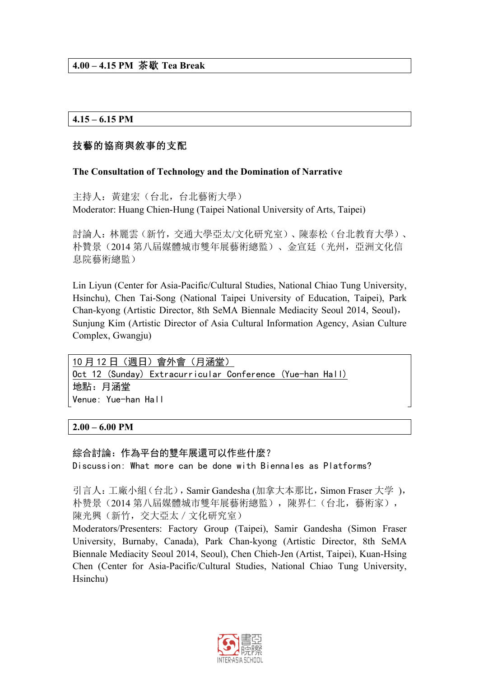## **4.15 – 6.15 PM**

## 技藝的協商與敘事的支配

## **The Consultation of Technology and the Domination of Narrative**

主持人:黃建宏(台北,台北藝術大學) Moderator: Huang Chien-Hung (Taipei National University of Arts, Taipei)

討論人:林麗雲(新竹,交通大學亞太/文化研究室)、陳泰松(台北教育大學)、 朴贊景(2014 第八屆媒體城市雙年展藝術總監)、金宣廷(光州,亞洲文化信 息院藝術總監)

Lin Liyun (Center for Asia-Pacific/Cultural Studies, National Chiao Tung University, Hsinchu), Chen Tai-Song (National Taipei University of Education, Taipei), Park Chan-kyong (Artistic Director, 8th SeMA Biennale Mediacity Seoul 2014, Seoul), Sunjung Kim (Artistic Director of Asia Cultural Information Agency, Asian Culture Complex, Gwangju)

10 月 12 日(週日)會外會(月涵堂) Oct 12 (Sunday) Extracurricular Conference (Yue-han Hall) 地點:月涵堂 Venue: Yue-han Hall

#### **2.00 – 6.00 PM**

#### 綜合討論:作為平台的雙年展還可以作些什麼?

Discussion: What more can be done with Biennales as Platforms?

引言人: 工廠小組(台北), Samir Gandesha (加拿大本那比, Simon Fraser 大学), 朴赞景(2014 第八屆媒體城市雙年展藝術總監),陳界仁(台北,藝術家), 陳光興(新竹,交大亞太/文化研究室)

Moderators/Presenters: Factory Group (Taipei), Samir Gandesha (Simon Fraser University, Burnaby, Canada), Park Chan-kyong (Artistic Director, 8th SeMA Biennale Mediacity Seoul 2014, Seoul), Chen Chieh-Jen (Artist, Taipei), Kuan-Hsing Chen (Center for Asia-Pacific/Cultural Studies, National Chiao Tung University, Hsinchu)